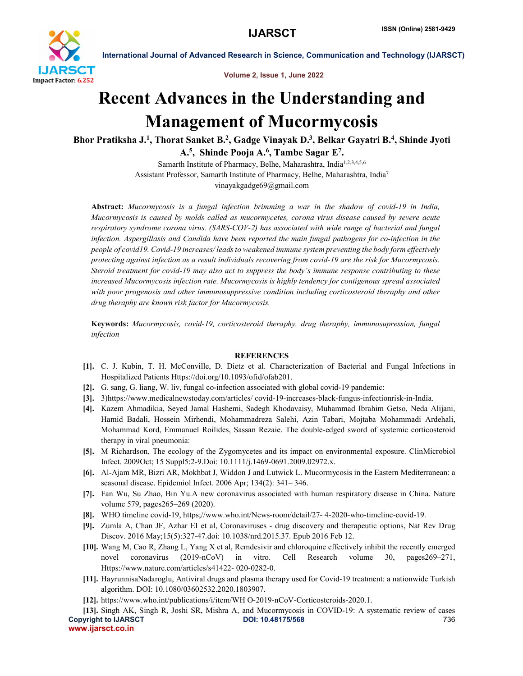

International Journal of Advanced Research in Science, Communication and Technology (IJARSCT)

Volume 2, Issue 1, June 2022

## Recent Advances in the Understanding and Management of Mucormycosis

Bhor Pratiksha J.<sup>1</sup>, Thorat Sanket B.<sup>2</sup>, Gadge Vinayak D.<sup>3</sup>, Belkar Gayatri B.<sup>4</sup>, Shinde Jyoti A.<sup>5</sup>, Shinde Pooja A.<sup>6</sup>, Tambe Sagar E<sup>7</sup>.

> Samarth Institute of Pharmacy, Belhe, Maharashtra, India<sup>1,2,3,4,5,6</sup> Assistant Professor, Samarth Institute of Pharmacy, Belhe, Maharashtra, India7 vinayakgadge69@gmail.com

Abstract: *Mucormycosis is a fungal infection brimming a war in the shadow of covid-19 in India, Mucormycosis is caused by molds called as mucormycetes, corona virus disease caused by severe acute respiratory syndrome corona virus. (SARS-COV-2) has associated with wide range of bacterial and fungal infection. Aspergillasis and Candida have been reported the main fungal pathogens for co-infection in the people of covid19. Covid-19 increases/ leads to weakened immune system preventing the body form effectively protecting against infection as a result individuals recovering from covid-19 are the risk for Mucormycosis. Steroid treatment for covid-19 may also act to suppress the body's immune response contributing to these increased Mucormycosis infection rate. Mucormycosis is highly tendency for contigenous spread associated*  with poor progenosis and other immunosuppressive condition including corticosteroid theraphy and other *drug theraphy are known risk factor for Mucormycosis.*

Keywords: *Mucormycosis, covid-19, corticosteroid theraphy, drug theraphy, immunosupression, fungal infection*

## **REFERENCES**

- [1]. C. J. Kubin, T. H. McConville, D. Dietz et al. Characterization of Bacterial and Fungal Infections in Hospitalized Patients Https://doi.org/10.1093/ofid/ofab201.
- [2]. G. sang, G. liang, W. liv, fungal co-infection associated with global covid-19 pandemic:
- [3]. 3)https://www.medicalnewstoday.com/articles/ covid-19-increases-black-fungus-infectionrisk-in-India.
- [4]. Kazem Ahmadikia, Seyed Jamal Hashemi, Sadegh Khodavaisy, Muhammad Ibrahim Getso, Neda Alijani, Hamid Badali, Hossein Mirhendi, Mohammadreza Salehi, Azin Tabari, Mojtaba Mohammadi Ardehali, Mohammad Kord, Emmanuel Roilides, Sassan Rezaie. The double-edged sword of systemic corticosteroid therapy in viral pneumonia:
- [5]. M Richardson, The ecology of the Zygomycetes and its impact on environmental exposure. ClinMicrobiol Infect. 2009Oct; 15 Suppl5:2-9.Doi: 10.1111/j.1469-0691.2009.02972.x.
- [6]. Al-Ajam MR, Bizri AR, Mokhbat J, Widdon J and Lutwick L. Mucormycosis in the Eastern Mediterranean: a seasonal disease. Epidemiol Infect. 2006 Apr; 134(2): 341– 346.
- [7]. Fan Wu, Su Zhao, Bin Yu.A new coronavirus associated with human respiratory disease in China. Nature volume 579, pages265–269 (2020).
- [8]. WHO timeline covid-19, https;//www.who.int/News-room/detail/27- 4-2020-who-timeline-covid-19.
- [9]. Zumla A, Chan JF, Azhar EI et al, Coronaviruses drug discovery and therapeutic options, Nat Rev Drug Discov. 2016 May;15(5):327-47.doi: 10.1038/nrd.2015.37. Epub 2016 Feb 12.
- [10]. Wang M, Cao R, Zhang L, Yang X et al, Remdesivir and chloroquine effectively inhibit the recently emerged novel coronavirus (2019-nCoV) in vitro. Cell Research volume 30, pages269–271, Https://www.nature.com/articles/s41422- 020-0282-0.
- [11]. HayrunnisaNadaroglu, Antiviral drugs and plasma therapy used for Covid-19 treatment: a nationwide Turkish algorithm. DOI: 10.1080/03602532.2020.1803907.
- [12]. https://www.who.int/publications/i/item/WH O-2019-nCoV-Corticosteroids-2020.1.

Copyright to IJARSCT **DOI: 10.48175/568 Copyright to IJARSCT** 736 www.ijarsct.co.in [13]. Singh AK, Singh R, Joshi SR, Mishra A, and Mucormycosis in COVID-19: A systematic review of cases